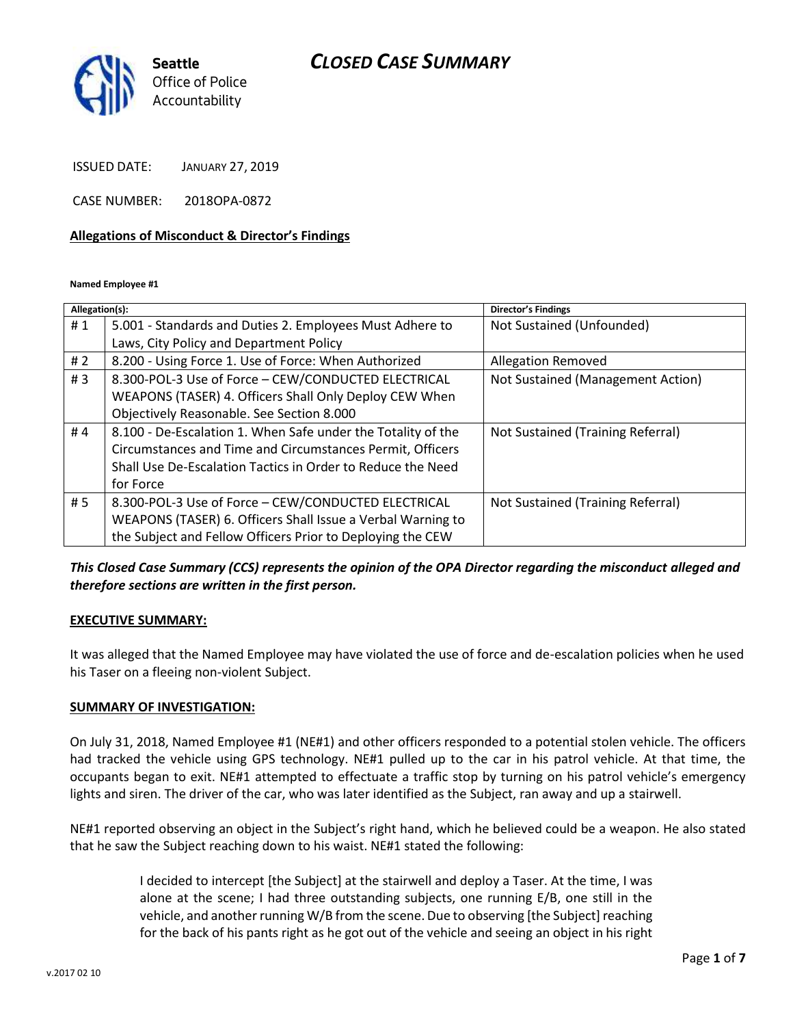## *CLOSED CASE SUMMARY*



ISSUED DATE: JANUARY 27, 2019

CASE NUMBER: 2018OPA-0872

#### **Allegations of Misconduct & Director's Findings**

**Named Employee #1**

| Allegation(s): |                                                              | Director's Findings               |
|----------------|--------------------------------------------------------------|-----------------------------------|
| #1             | 5.001 - Standards and Duties 2. Employees Must Adhere to     | Not Sustained (Unfounded)         |
|                | Laws, City Policy and Department Policy                      |                                   |
| # $2$          | 8.200 - Using Force 1. Use of Force: When Authorized         | <b>Allegation Removed</b>         |
| #3             | 8.300-POL-3 Use of Force - CEW/CONDUCTED ELECTRICAL          | Not Sustained (Management Action) |
|                | WEAPONS (TASER) 4. Officers Shall Only Deploy CEW When       |                                   |
|                | Objectively Reasonable. See Section 8.000                    |                                   |
| #4             | 8.100 - De-Escalation 1. When Safe under the Totality of the | Not Sustained (Training Referral) |
|                | Circumstances and Time and Circumstances Permit, Officers    |                                   |
|                | Shall Use De-Escalation Tactics in Order to Reduce the Need  |                                   |
|                | for Force                                                    |                                   |
| # 5            | 8.300-POL-3 Use of Force - CEW/CONDUCTED ELECTRICAL          | Not Sustained (Training Referral) |
|                | WEAPONS (TASER) 6. Officers Shall Issue a Verbal Warning to  |                                   |
|                | the Subject and Fellow Officers Prior to Deploying the CEW   |                                   |

### *This Closed Case Summary (CCS) represents the opinion of the OPA Director regarding the misconduct alleged and therefore sections are written in the first person.*

#### **EXECUTIVE SUMMARY:**

It was alleged that the Named Employee may have violated the use of force and de-escalation policies when he used his Taser on a fleeing non-violent Subject.

#### **SUMMARY OF INVESTIGATION:**

On July 31, 2018, Named Employee #1 (NE#1) and other officers responded to a potential stolen vehicle. The officers had tracked the vehicle using GPS technology. NE#1 pulled up to the car in his patrol vehicle. At that time, the occupants began to exit. NE#1 attempted to effectuate a traffic stop by turning on his patrol vehicle's emergency lights and siren. The driver of the car, who was later identified as the Subject, ran away and up a stairwell.

NE#1 reported observing an object in the Subject's right hand, which he believed could be a weapon. He also stated that he saw the Subject reaching down to his waist. NE#1 stated the following:

> I decided to intercept [the Subject] at the stairwell and deploy a Taser. At the time, I was alone at the scene; I had three outstanding subjects, one running E/B, one still in the vehicle, and another running W/B from the scene. Due to observing [the Subject] reaching for the back of his pants right as he got out of the vehicle and seeing an object in his right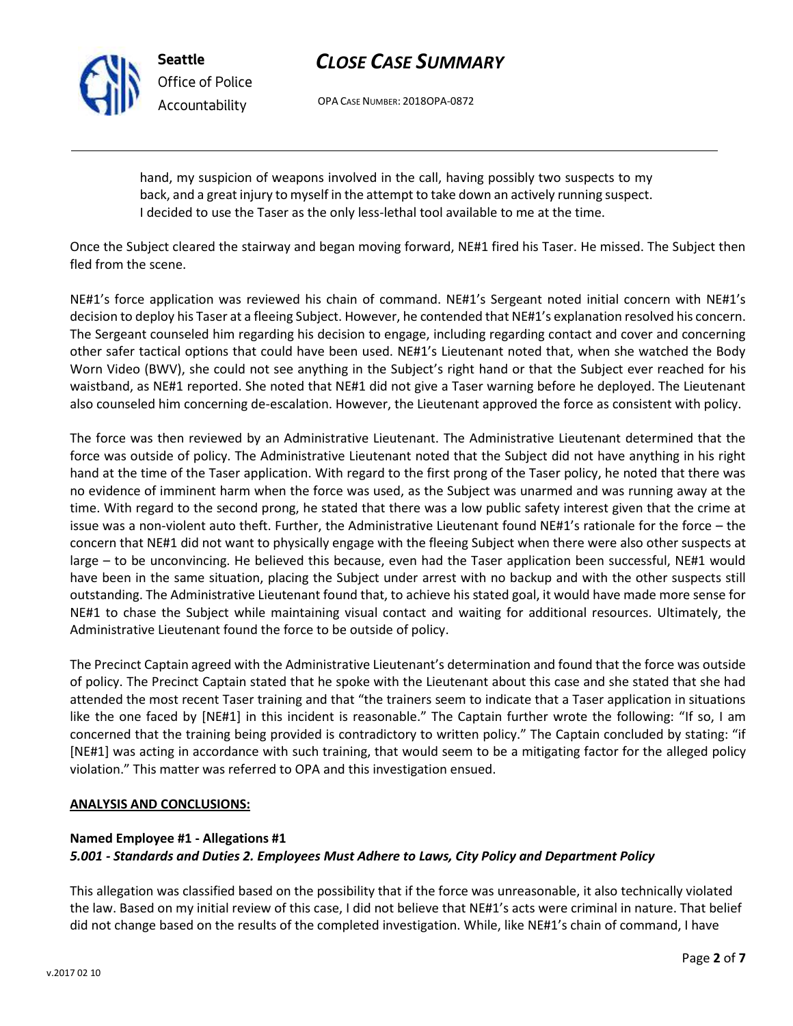

**Seattle** *Office of Police Accountability*

# *CLOSE CASE SUMMARY*

OPA CASE NUMBER: 2018OPA-0872

hand, my suspicion of weapons involved in the call, having possibly two suspects to my back, and a great injury to myself in the attempt to take down an actively running suspect. I decided to use the Taser as the only less-lethal tool available to me at the time.

Once the Subject cleared the stairway and began moving forward, NE#1 fired his Taser. He missed. The Subject then fled from the scene.

NE#1's force application was reviewed his chain of command. NE#1's Sergeant noted initial concern with NE#1's decision to deploy his Taser at a fleeing Subject. However, he contended that NE#1's explanation resolved his concern. The Sergeant counseled him regarding his decision to engage, including regarding contact and cover and concerning other safer tactical options that could have been used. NE#1's Lieutenant noted that, when she watched the Body Worn Video (BWV), she could not see anything in the Subject's right hand or that the Subject ever reached for his waistband, as NE#1 reported. She noted that NE#1 did not give a Taser warning before he deployed. The Lieutenant also counseled him concerning de-escalation. However, the Lieutenant approved the force as consistent with policy.

The force was then reviewed by an Administrative Lieutenant. The Administrative Lieutenant determined that the force was outside of policy. The Administrative Lieutenant noted that the Subject did not have anything in his right hand at the time of the Taser application. With regard to the first prong of the Taser policy, he noted that there was no evidence of imminent harm when the force was used, as the Subject was unarmed and was running away at the time. With regard to the second prong, he stated that there was a low public safety interest given that the crime at issue was a non-violent auto theft. Further, the Administrative Lieutenant found NE#1's rationale for the force – the concern that NE#1 did not want to physically engage with the fleeing Subject when there were also other suspects at large – to be unconvincing. He believed this because, even had the Taser application been successful, NE#1 would have been in the same situation, placing the Subject under arrest with no backup and with the other suspects still outstanding. The Administrative Lieutenant found that, to achieve his stated goal, it would have made more sense for NE#1 to chase the Subject while maintaining visual contact and waiting for additional resources. Ultimately, the Administrative Lieutenant found the force to be outside of policy.

The Precinct Captain agreed with the Administrative Lieutenant's determination and found that the force was outside of policy. The Precinct Captain stated that he spoke with the Lieutenant about this case and she stated that she had attended the most recent Taser training and that "the trainers seem to indicate that a Taser application in situations like the one faced by [NE#1] in this incident is reasonable." The Captain further wrote the following: "If so, I am concerned that the training being provided is contradictory to written policy." The Captain concluded by stating: "if [NE#1] was acting in accordance with such training, that would seem to be a mitigating factor for the alleged policy violation." This matter was referred to OPA and this investigation ensued.

### **ANALYSIS AND CONCLUSIONS:**

#### **Named Employee #1 - Allegations #1** *5.001 - Standards and Duties 2. Employees Must Adhere to Laws, City Policy and Department Policy*

This allegation was classified based on the possibility that if the force was unreasonable, it also technically violated the law. Based on my initial review of this case, I did not believe that NE#1's acts were criminal in nature. That belief did not change based on the results of the completed investigation. While, like NE#1's chain of command, I have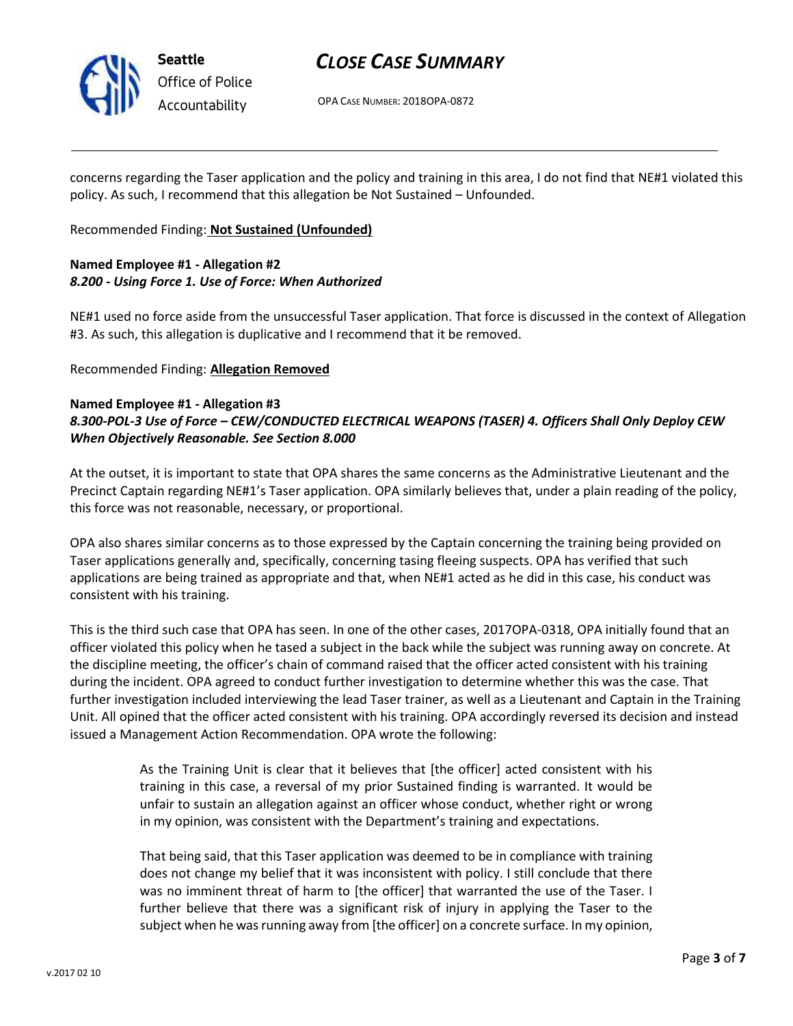

**Seattle** *Office of Police Accountability*

## *CLOSE CASE SUMMARY*

OPA CASE NUMBER: 2018OPA-0872

concerns regarding the Taser application and the policy and training in this area, I do not find that NE#1 violated this policy. As such, I recommend that this allegation be Not Sustained – Unfounded.

Recommended Finding: **Not Sustained (Unfounded)**

## **Named Employee #1 - Allegation #2** *8.200 - Using Force 1. Use of Force: When Authorized*

NE#1 used no force aside from the unsuccessful Taser application. That force is discussed in the context of Allegation #3. As such, this allegation is duplicative and I recommend that it be removed.

### Recommended Finding: **Allegation Removed**

### **Named Employee #1 - Allegation #3** *8.300-POL-3 Use of Force – CEW/CONDUCTED ELECTRICAL WEAPONS (TASER) 4. Officers Shall Only Deploy CEW When Objectively Reasonable. See Section 8.000*

At the outset, it is important to state that OPA shares the same concerns as the Administrative Lieutenant and the Precinct Captain regarding NE#1's Taser application. OPA similarly believes that, under a plain reading of the policy, this force was not reasonable, necessary, or proportional.

OPA also shares similar concerns as to those expressed by the Captain concerning the training being provided on Taser applications generally and, specifically, concerning tasing fleeing suspects. OPA has verified that such applications are being trained as appropriate and that, when NE#1 acted as he did in this case, his conduct was consistent with his training.

This is the third such case that OPA has seen. In one of the other cases, 2017OPA-0318, OPA initially found that an officer violated this policy when he tased a subject in the back while the subject was running away on concrete. At the discipline meeting, the officer's chain of command raised that the officer acted consistent with his training during the incident. OPA agreed to conduct further investigation to determine whether this was the case. That further investigation included interviewing the lead Taser trainer, as well as a Lieutenant and Captain in the Training Unit. All opined that the officer acted consistent with his training. OPA accordingly reversed its decision and instead issued a Management Action Recommendation. OPA wrote the following:

> As the Training Unit is clear that it believes that [the officer] acted consistent with his training in this case, a reversal of my prior Sustained finding is warranted. It would be unfair to sustain an allegation against an officer whose conduct, whether right or wrong in my opinion, was consistent with the Department's training and expectations.

> That being said, that this Taser application was deemed to be in compliance with training does not change my belief that it was inconsistent with policy. I still conclude that there was no imminent threat of harm to [the officer] that warranted the use of the Taser. I further believe that there was a significant risk of injury in applying the Taser to the subject when he was running away from [the officer] on a concrete surface. In my opinion,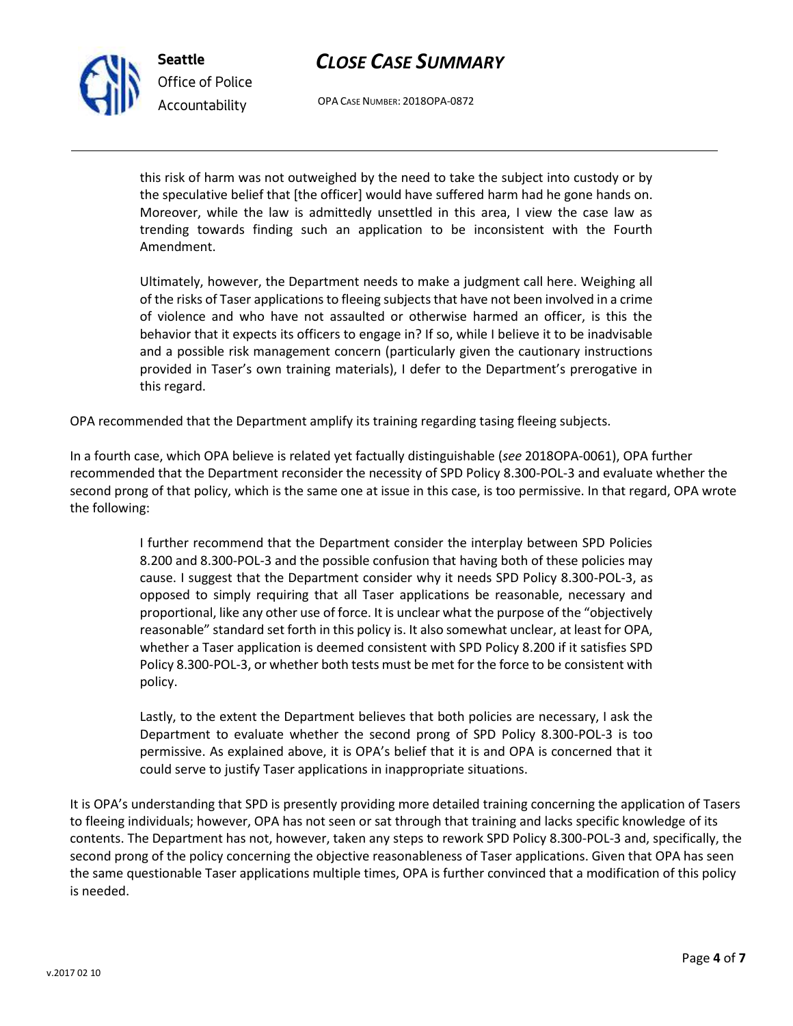## *CLOSE CASE SUMMARY*

this risk of harm was not outweighed by the need to take the subject into custody or by the speculative belief that [the officer] would have suffered harm had he gone hands on. Moreover, while the law is admittedly unsettled in this area, I view the case law as trending towards finding such an application to be inconsistent with the Fourth

OPA CASE NUMBER: 2018OPA-0872

Ultimately, however, the Department needs to make a judgment call here. Weighing all of the risks of Taser applications to fleeing subjects that have not been involved in a crime of violence and who have not assaulted or otherwise harmed an officer, is this the behavior that it expects its officers to engage in? If so, while I believe it to be inadvisable and a possible risk management concern (particularly given the cautionary instructions provided in Taser's own training materials), I defer to the Department's prerogative in this regard.

OPA recommended that the Department amplify its training regarding tasing fleeing subjects.

**Seattle**

Amendment.

*Office of Police Accountability*

In a fourth case, which OPA believe is related yet factually distinguishable (*see* 2018OPA-0061), OPA further recommended that the Department reconsider the necessity of SPD Policy 8.300-POL-3 and evaluate whether the second prong of that policy, which is the same one at issue in this case, is too permissive. In that regard, OPA wrote the following:

> I further recommend that the Department consider the interplay between SPD Policies 8.200 and 8.300-POL-3 and the possible confusion that having both of these policies may cause. I suggest that the Department consider why it needs SPD Policy 8.300-POL-3, as opposed to simply requiring that all Taser applications be reasonable, necessary and proportional, like any other use of force. It is unclear what the purpose of the "objectively reasonable" standard set forth in this policy is. It also somewhat unclear, at least for OPA, whether a Taser application is deemed consistent with SPD Policy 8.200 if it satisfies SPD Policy 8.300-POL-3, or whether both tests must be met for the force to be consistent with policy.

> Lastly, to the extent the Department believes that both policies are necessary, I ask the Department to evaluate whether the second prong of SPD Policy 8.300-POL-3 is too permissive. As explained above, it is OPA's belief that it is and OPA is concerned that it could serve to justify Taser applications in inappropriate situations.

It is OPA's understanding that SPD is presently providing more detailed training concerning the application of Tasers to fleeing individuals; however, OPA has not seen or sat through that training and lacks specific knowledge of its contents. The Department has not, however, taken any steps to rework SPD Policy 8.300-POL-3 and, specifically, the second prong of the policy concerning the objective reasonableness of Taser applications. Given that OPA has seen the same questionable Taser applications multiple times, OPA is further convinced that a modification of this policy is needed.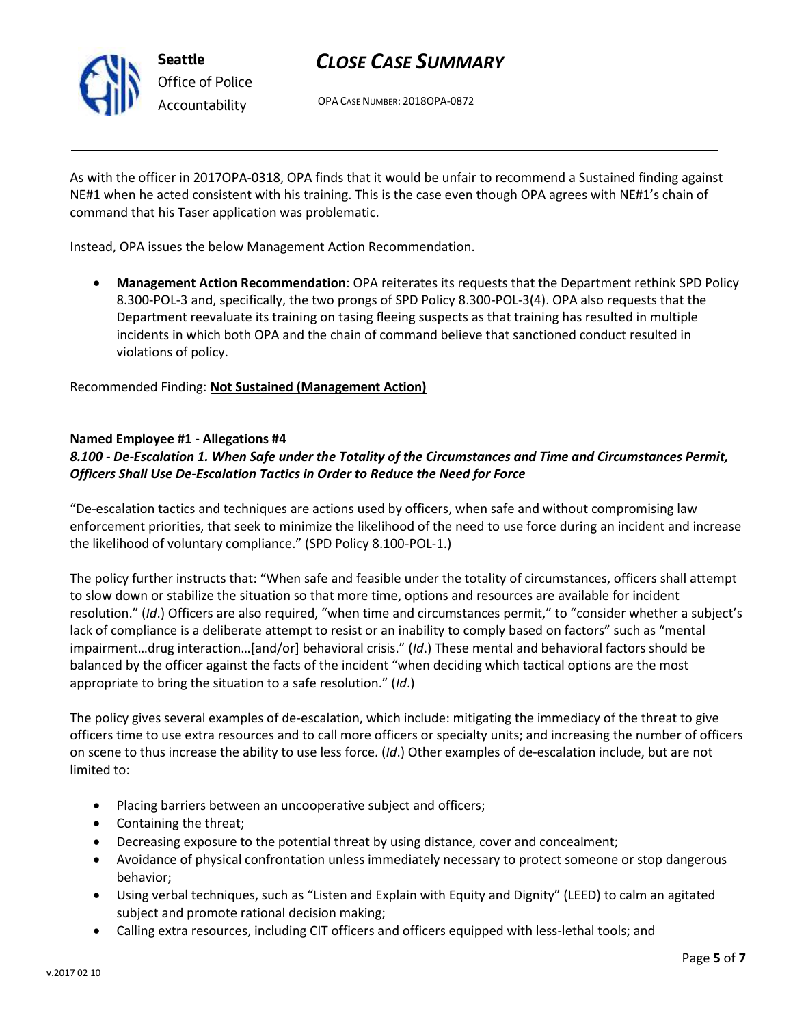

## *CLOSE CASE SUMMARY*

OPA CASE NUMBER: 2018OPA-0872

As with the officer in 2017OPA-0318, OPA finds that it would be unfair to recommend a Sustained finding against NE#1 when he acted consistent with his training. This is the case even though OPA agrees with NE#1's chain of command that his Taser application was problematic.

Instead, OPA issues the below Management Action Recommendation.

• **Management Action Recommendation**: OPA reiterates its requests that the Department rethink SPD Policy 8.300-POL-3 and, specifically, the two prongs of SPD Policy 8.300-POL-3(4). OPA also requests that the Department reevaluate its training on tasing fleeing suspects as that training has resulted in multiple incidents in which both OPA and the chain of command believe that sanctioned conduct resulted in violations of policy.

Recommended Finding: **Not Sustained (Management Action)**

### **Named Employee #1 - Allegations #4**

## *8.100 - De-Escalation 1. When Safe under the Totality of the Circumstances and Time and Circumstances Permit, Officers Shall Use De-Escalation Tactics in Order to Reduce the Need for Force*

"De-escalation tactics and techniques are actions used by officers, when safe and without compromising law enforcement priorities, that seek to minimize the likelihood of the need to use force during an incident and increase the likelihood of voluntary compliance." (SPD Policy 8.100-POL-1.)

The policy further instructs that: "When safe and feasible under the totality of circumstances, officers shall attempt to slow down or stabilize the situation so that more time, options and resources are available for incident resolution." (*Id*.) Officers are also required, "when time and circumstances permit," to "consider whether a subject's lack of compliance is a deliberate attempt to resist or an inability to comply based on factors" such as "mental impairment…drug interaction…[and/or] behavioral crisis." (*Id*.) These mental and behavioral factors should be balanced by the officer against the facts of the incident "when deciding which tactical options are the most appropriate to bring the situation to a safe resolution." (*Id*.)

The policy gives several examples of de-escalation, which include: mitigating the immediacy of the threat to give officers time to use extra resources and to call more officers or specialty units; and increasing the number of officers on scene to thus increase the ability to use less force. (*Id*.) Other examples of de-escalation include, but are not limited to:

- Placing barriers between an uncooperative subject and officers;
- Containing the threat;
- Decreasing exposure to the potential threat by using distance, cover and concealment;
- Avoidance of physical confrontation unless immediately necessary to protect someone or stop dangerous behavior;
- Using verbal techniques, such as "Listen and Explain with Equity and Dignity" (LEED) to calm an agitated subject and promote rational decision making;
- Calling extra resources, including CIT officers and officers equipped with less-lethal tools; and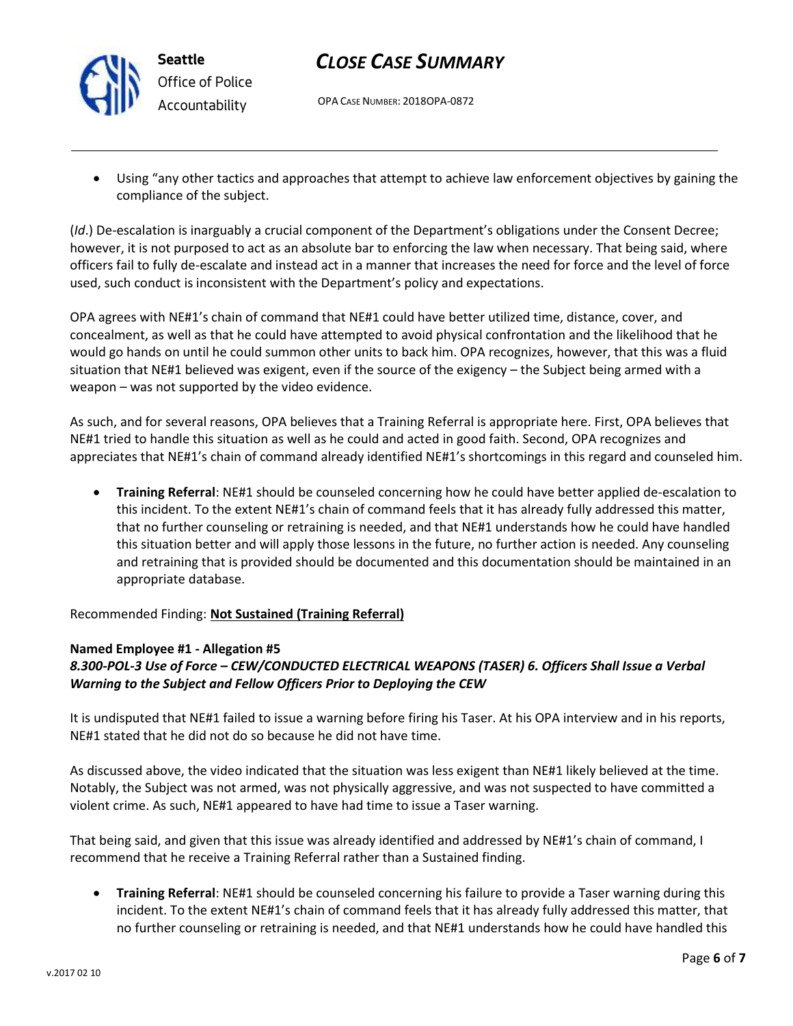

## *CLOSE CASE SUMMARY*

OPA CASE NUMBER: 2018OPA-0872

• Using "any other tactics and approaches that attempt to achieve law enforcement objectives by gaining the compliance of the subject.

(*Id*.) De-escalation is inarguably a crucial component of the Department's obligations under the Consent Decree; however, it is not purposed to act as an absolute bar to enforcing the law when necessary. That being said, where officers fail to fully de-escalate and instead act in a manner that increases the need for force and the level of force used, such conduct is inconsistent with the Department's policy and expectations.

OPA agrees with NE#1's chain of command that NE#1 could have better utilized time, distance, cover, and concealment, as well as that he could have attempted to avoid physical confrontation and the likelihood that he would go hands on until he could summon other units to back him. OPA recognizes, however, that this was a fluid situation that NE#1 believed was exigent, even if the source of the exigency – the Subject being armed with a weapon – was not supported by the video evidence.

As such, and for several reasons, OPA believes that a Training Referral is appropriate here. First, OPA believes that NE#1 tried to handle this situation as well as he could and acted in good faith. Second, OPA recognizes and appreciates that NE#1's chain of command already identified NE#1's shortcomings in this regard and counseled him.

• **Training Referral**: NE#1 should be counseled concerning how he could have better applied de-escalation to this incident. To the extent NE#1's chain of command feels that it has already fully addressed this matter, that no further counseling or retraining is needed, and that NE#1 understands how he could have handled this situation better and will apply those lessons in the future, no further action is needed. Any counseling and retraining that is provided should be documented and this documentation should be maintained in an appropriate database.

Recommended Finding: **Not Sustained (Training Referral)**

### **Named Employee #1 - Allegation #5**

## *8.300-POL-3 Use of Force – CEW/CONDUCTED ELECTRICAL WEAPONS (TASER) 6. Officers Shall Issue a Verbal Warning to the Subject and Fellow Officers Prior to Deploying the CEW*

It is undisputed that NE#1 failed to issue a warning before firing his Taser. At his OPA interview and in his reports, NE#1 stated that he did not do so because he did not have time.

As discussed above, the video indicated that the situation was less exigent than NE#1 likely believed at the time. Notably, the Subject was not armed, was not physically aggressive, and was not suspected to have committed a violent crime. As such, NE#1 appeared to have had time to issue a Taser warning.

That being said, and given that this issue was already identified and addressed by NE#1's chain of command, I recommend that he receive a Training Referral rather than a Sustained finding.

• **Training Referral**: NE#1 should be counseled concerning his failure to provide a Taser warning during this incident. To the extent NE#1's chain of command feels that it has already fully addressed this matter, that no further counseling or retraining is needed, and that NE#1 understands how he could have handled this